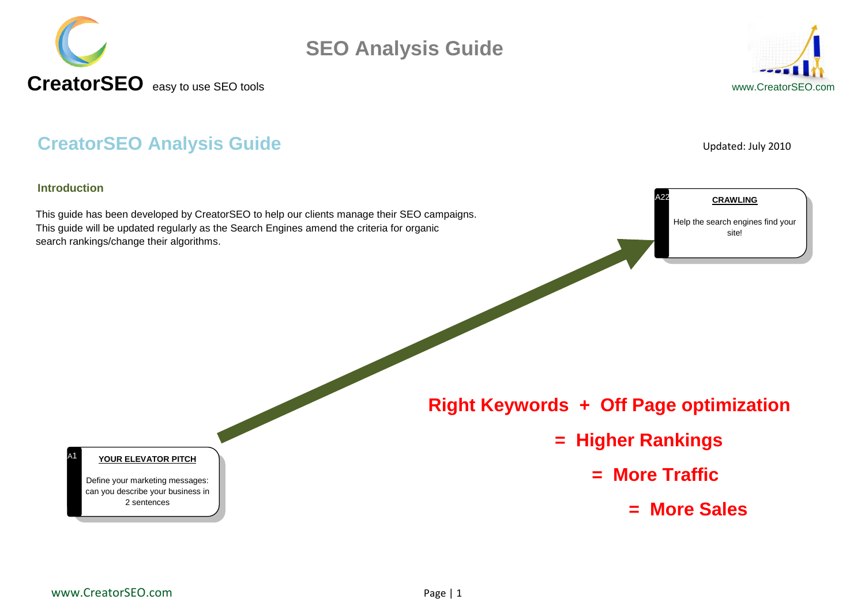



#### **CreatorSEO Analysis Guide** Updated: July 2010

#### **Introduction**

11A1

This guide has been developed by CreatorSEO to help our clients manage their SEO campaigns. This guide will be updated regularly as the Search Engines amend the criteria for organic search rankings/change their algorithms.

Help the search engines find your site!

**CRAWLING**

 **Right Keywords + Off Page optimization** 

- **= Higher Rankings** 
	- **= More Traffic**

A22

**= More Sales**

#### **YOUR ELEVATOR PITCH**

Define your marketing messages: can you describe your business in 2 sentences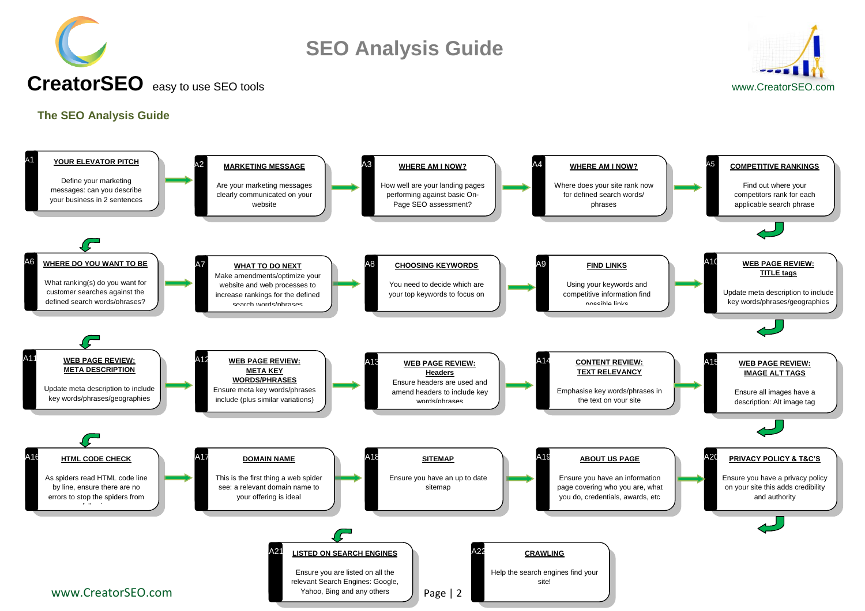



#### <span id="page-1-0"></span>**The SEO Analysis Guide**

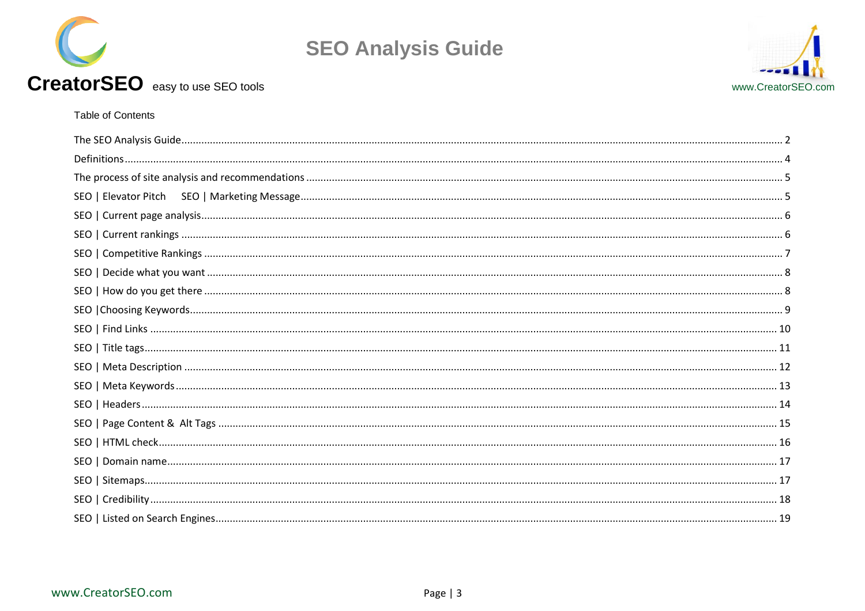



#### Table of Contents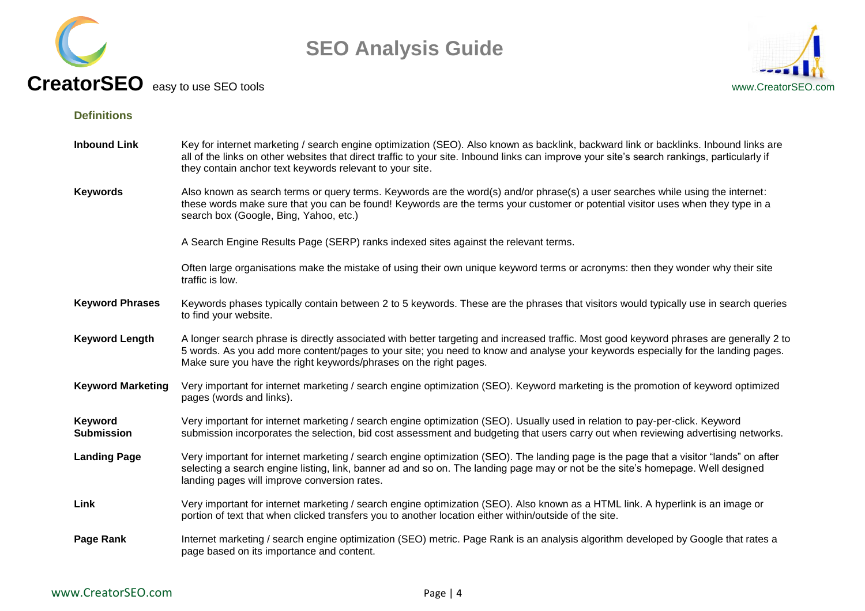



#### <span id="page-3-0"></span>**Definitions**

| <b>Inbound Link</b>          | Key for internet marketing / search engine optimization (SEO). Also known as backlink, backward link or backlinks. Inbound links are<br>all of the links on other websites that direct traffic to your site. Inbound links can improve your site's search rankings, particularly if<br>they contain anchor text keywords relevant to your site.   |  |  |  |  |  |
|------------------------------|---------------------------------------------------------------------------------------------------------------------------------------------------------------------------------------------------------------------------------------------------------------------------------------------------------------------------------------------------|--|--|--|--|--|
| <b>Keywords</b>              | Also known as search terms or query terms. Keywords are the word(s) and/or phrase(s) a user searches while using the internet:<br>these words make sure that you can be found! Keywords are the terms your customer or potential visitor uses when they type in a<br>search box (Google, Bing, Yahoo, etc.)                                       |  |  |  |  |  |
|                              | A Search Engine Results Page (SERP) ranks indexed sites against the relevant terms.                                                                                                                                                                                                                                                               |  |  |  |  |  |
|                              | Often large organisations make the mistake of using their own unique keyword terms or acronyms: then they wonder why their site<br>traffic is low.                                                                                                                                                                                                |  |  |  |  |  |
| <b>Keyword Phrases</b>       | Keywords phases typically contain between 2 to 5 keywords. These are the phrases that visitors would typically use in search queries<br>to find your website.                                                                                                                                                                                     |  |  |  |  |  |
| <b>Keyword Length</b>        | A longer search phrase is directly associated with better targeting and increased traffic. Most good keyword phrases are generally 2 to<br>5 words. As you add more content/pages to your site; you need to know and analyse your keywords especially for the landing pages.<br>Make sure you have the right keywords/phrases on the right pages. |  |  |  |  |  |
| <b>Keyword Marketing</b>     | Very important for internet marketing / search engine optimization (SEO). Keyword marketing is the promotion of keyword optimized<br>pages (words and links).                                                                                                                                                                                     |  |  |  |  |  |
| Keyword<br><b>Submission</b> | Very important for internet marketing / search engine optimization (SEO). Usually used in relation to pay-per-click. Keyword<br>submission incorporates the selection, bid cost assessment and budgeting that users carry out when reviewing advertising networks.                                                                                |  |  |  |  |  |
| <b>Landing Page</b>          | Very important for internet marketing / search engine optimization (SEO). The landing page is the page that a visitor "lands" on after<br>selecting a search engine listing, link, banner ad and so on. The landing page may or not be the site's homepage. Well designed<br>landing pages will improve conversion rates.                         |  |  |  |  |  |
| Link                         | Very important for internet marketing / search engine optimization (SEO). Also known as a HTML link. A hyperlink is an image or<br>portion of text that when clicked transfers you to another location either within/outside of the site.                                                                                                         |  |  |  |  |  |
| Page Rank                    | Internet marketing / search engine optimization (SEO) metric. Page Rank is an analysis algorithm developed by Google that rates a<br>page based on its importance and content.                                                                                                                                                                    |  |  |  |  |  |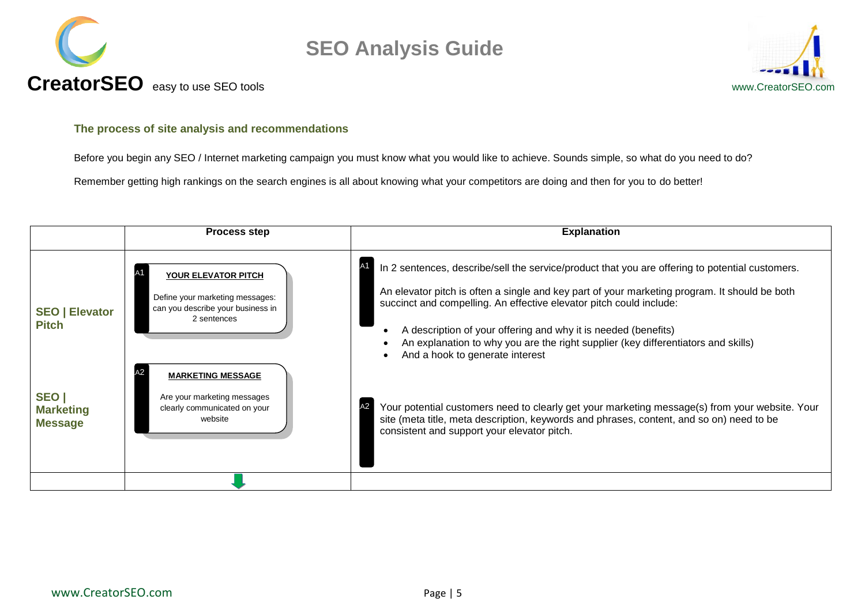



#### <span id="page-4-0"></span>**The process of site analysis and recommendations**

Before you begin any SEO / Internet marketing campaign you must know what you would like to achieve. Sounds simple, so what do you need to do?

Remember getting high rankings on the search engines is all about knowing what your competitors are doing and then for you to do better!

<span id="page-4-1"></span>

|                                             | <b>Process step</b>                                                                                        | <b>Explanation</b>                                                                                                                                                                                                                                                                                                                                                                                                                                                      |
|---------------------------------------------|------------------------------------------------------------------------------------------------------------|-------------------------------------------------------------------------------------------------------------------------------------------------------------------------------------------------------------------------------------------------------------------------------------------------------------------------------------------------------------------------------------------------------------------------------------------------------------------------|
| <b>SEO   Elevator</b><br><b>Pitch</b>       | YOUR ELEVATOR PITCH<br>Define your marketing messages:<br>can you describe your business in<br>2 sentences | In 2 sentences, describe/sell the service/product that you are offering to potential customers.<br>A1<br>An elevator pitch is often a single and key part of your marketing program. It should be both<br>succinct and compelling. An effective elevator pitch could include:<br>A description of your offering and why it is needed (benefits)<br>An explanation to why you are the right supplier (key differentiators and skills)<br>And a hook to generate interest |
| SEO  <br><b>Marketing</b><br><b>Message</b> | <b>MARKETING MESSAGE</b><br>Are your marketing messages<br>clearly communicated on your<br>website         | Your potential customers need to clearly get your marketing message(s) from your website. Your<br>site (meta title, meta description, keywords and phrases, content, and so on) need to be<br>consistent and support your elevator pitch.                                                                                                                                                                                                                               |
|                                             |                                                                                                            |                                                                                                                                                                                                                                                                                                                                                                                                                                                                         |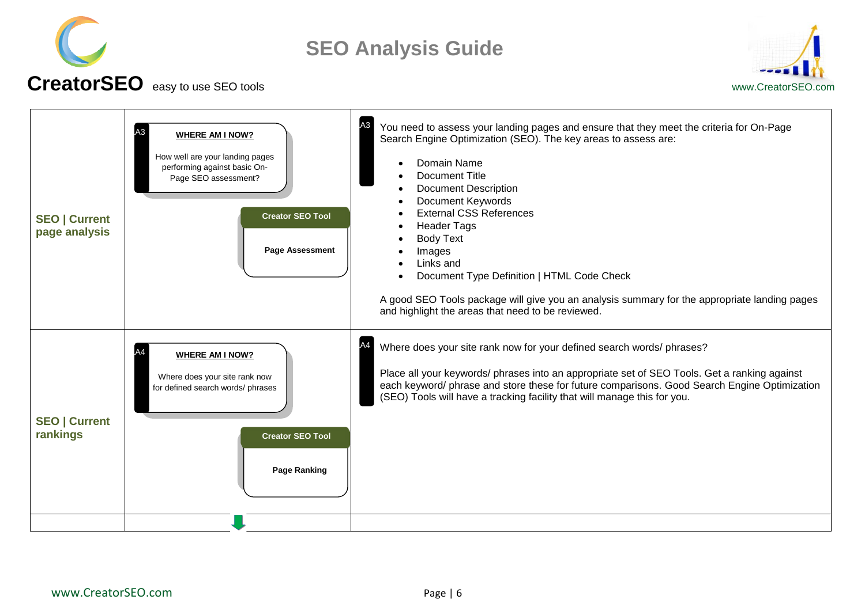



# **CreatorSEO** easy to use SEO toolswww.CreatorSEO.com

<span id="page-5-1"></span><span id="page-5-0"></span>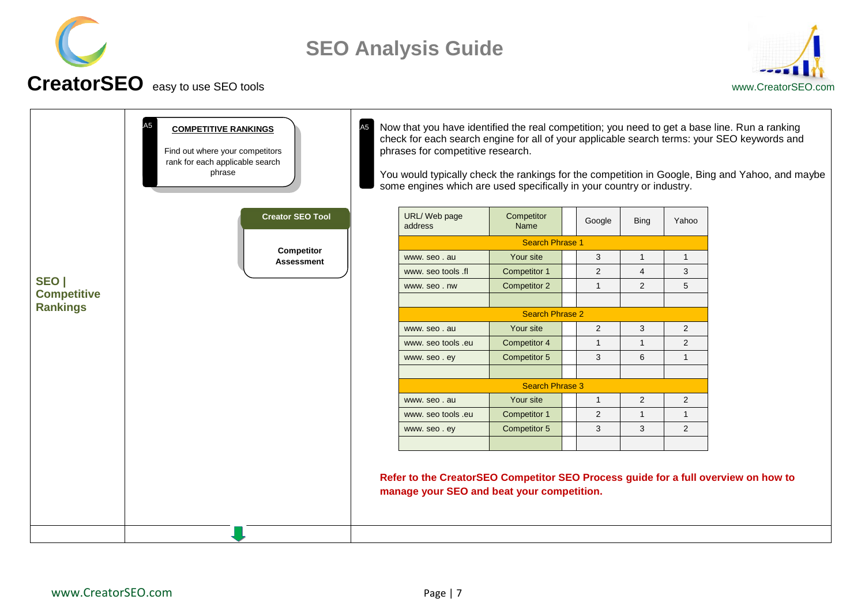



<span id="page-6-0"></span>

|                                       | <b>COMPETITIVE RANKINGS</b><br>Find out where your competitors<br>rank for each applicable search<br>phrase | A <sub>5</sub>         | phrases for competitive research.<br>some engines which are used specifically in your country or industry.                       |                        |              |                |                | Now that you have identified the real competition; you need to get a base line. Run a ranking<br>check for each search engine for all of your applicable search terms: your SEO keywords and<br>You would typically check the rankings for the competition in Google, Bing and Yahoo, and maybe |
|---------------------------------------|-------------------------------------------------------------------------------------------------------------|------------------------|----------------------------------------------------------------------------------------------------------------------------------|------------------------|--------------|----------------|----------------|-------------------------------------------------------------------------------------------------------------------------------------------------------------------------------------------------------------------------------------------------------------------------------------------------|
|                                       | <b>Creator SEO Tool</b><br>Competitor<br><b>Assessment</b>                                                  |                        | URL/ Web page<br>address                                                                                                         | Competitor<br>Name     | Google       | <b>Bing</b>    | Yahoo          |                                                                                                                                                                                                                                                                                                 |
|                                       |                                                                                                             |                        |                                                                                                                                  | <b>Search Phrase 1</b> |              |                |                |                                                                                                                                                                                                                                                                                                 |
|                                       |                                                                                                             |                        | www.seo.au                                                                                                                       | Your site              | 3            |                | 1              |                                                                                                                                                                                                                                                                                                 |
|                                       |                                                                                                             |                        | www. seo tools .fl                                                                                                               | Competitor 1           | 2            | 4              | 3              |                                                                                                                                                                                                                                                                                                 |
| SEO                                   |                                                                                                             |                        | www.seo.nw                                                                                                                       | Competitor 2           | $\mathbf{1}$ | 2              | 5              |                                                                                                                                                                                                                                                                                                 |
| <b>Competitive</b><br><b>Rankings</b> |                                                                                                             |                        |                                                                                                                                  |                        |              |                |                |                                                                                                                                                                                                                                                                                                 |
|                                       |                                                                                                             | <b>Search Phrase 2</b> |                                                                                                                                  |                        |              |                |                |                                                                                                                                                                                                                                                                                                 |
|                                       |                                                                                                             |                        | www.seo.au                                                                                                                       | Your site              | 2            | 3              | $\overline{2}$ |                                                                                                                                                                                                                                                                                                 |
|                                       |                                                                                                             |                        | www. seo tools .eu                                                                                                               | Competitor 4           | $\mathbf{1}$ | $\mathbf{1}$   | $\overline{2}$ |                                                                                                                                                                                                                                                                                                 |
|                                       |                                                                                                             |                        | www.seo.ey                                                                                                                       | Competitor 5           | 3            | 6              | $\mathbf{1}$   |                                                                                                                                                                                                                                                                                                 |
|                                       |                                                                                                             |                        |                                                                                                                                  |                        |              |                |                |                                                                                                                                                                                                                                                                                                 |
|                                       |                                                                                                             |                        | <b>Search Phrase 3</b>                                                                                                           |                        |              |                |                |                                                                                                                                                                                                                                                                                                 |
|                                       |                                                                                                             |                        | www.seo.au                                                                                                                       | Your site              | $\mathbf{1}$ | $\overline{2}$ | $\overline{2}$ |                                                                                                                                                                                                                                                                                                 |
|                                       |                                                                                                             |                        | www. seo tools .eu                                                                                                               | Competitor 1           | 2            | $\mathbf{1}$   | $\mathbf{1}$   |                                                                                                                                                                                                                                                                                                 |
|                                       |                                                                                                             |                        | www.seo.ey                                                                                                                       | Competitor 5           | $\mathbf{3}$ | 3              | 2              |                                                                                                                                                                                                                                                                                                 |
|                                       |                                                                                                             |                        |                                                                                                                                  |                        |              |                |                |                                                                                                                                                                                                                                                                                                 |
|                                       |                                                                                                             |                        | Refer to the CreatorSEO Competitor SEO Process guide for a full overview on how to<br>manage your SEO and beat your competition. |                        |              |                |                |                                                                                                                                                                                                                                                                                                 |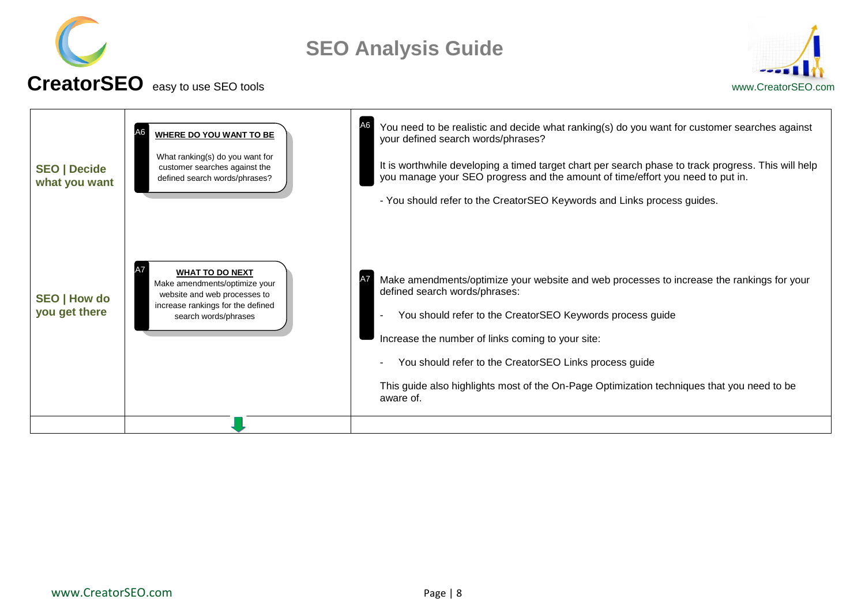



<span id="page-7-1"></span><span id="page-7-0"></span>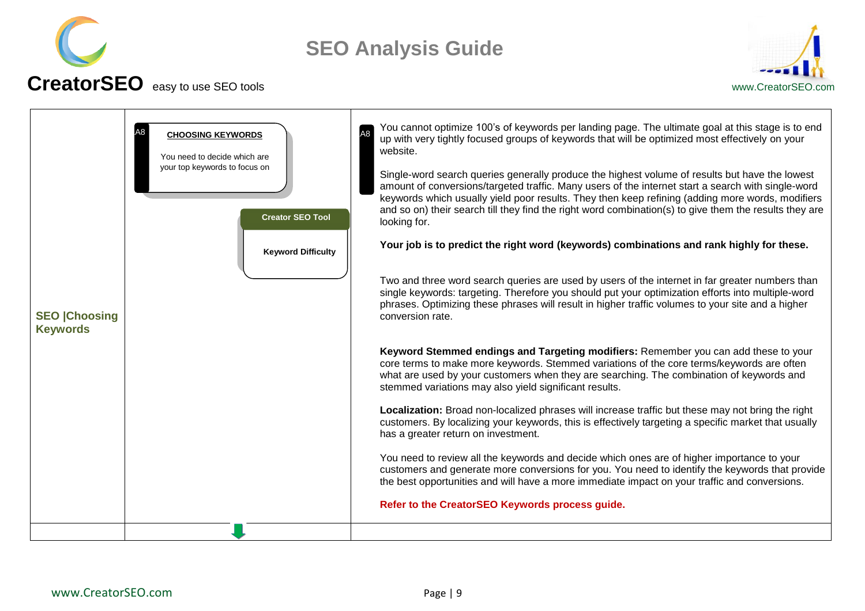



#### <span id="page-8-0"></span>**SEO |Choosing Keywords** You cannot optimize 100"s of keywords per landing page. The ultimate goal at this stage is to end up with very tightly focused groups of keywords that will be optimized most effectively on your website. Single-word search queries generally produce the highest volume of results but have the lowest amount of conversions/targeted traffic. Many users of the internet start a search with single-word keywords which usually yield poor results. They then keep refining (adding more words, modifiers and so on) their search till they find the right word combination(s) to give them the results they are looking for. **Your job is to predict the right word (keywords) combinations and rank highly for these.** Two and three word search queries are used by users of the internet in far greater numbers than single keywords: targeting. Therefore you should put your optimization efforts into multiple-word phrases. Optimizing these phrases will result in higher traffic volumes to your site and a higher conversion rate. **Keyword Stemmed endings and Targeting modifiers:** Remember you can add these to your core terms to make more keywords. Stemmed variations of the core terms/keywords are often what are used by your customers when they are searching. The combination of keywords and stemmed variations may also yield significant results. **Localization:** Broad non-localized phrases will increase traffic but these may not bring the right customers. By localizing your keywords, this is effectively targeting a specific market that usually has a greater return on investment. You need to review all the keywords and decide which ones are of higher importance to your customers and generate more conversions for you. You need to identify the keywords that provide the best opportunities and will have a more immediate impact on your traffic and conversions. **Refer to the CreatorSEO Keywords process guide. A8** CHOOSING KEYWORDS **CHOOSING** You need to decide which are your top keywords to focus on **Keyword Difficulty Creator SEO Tool**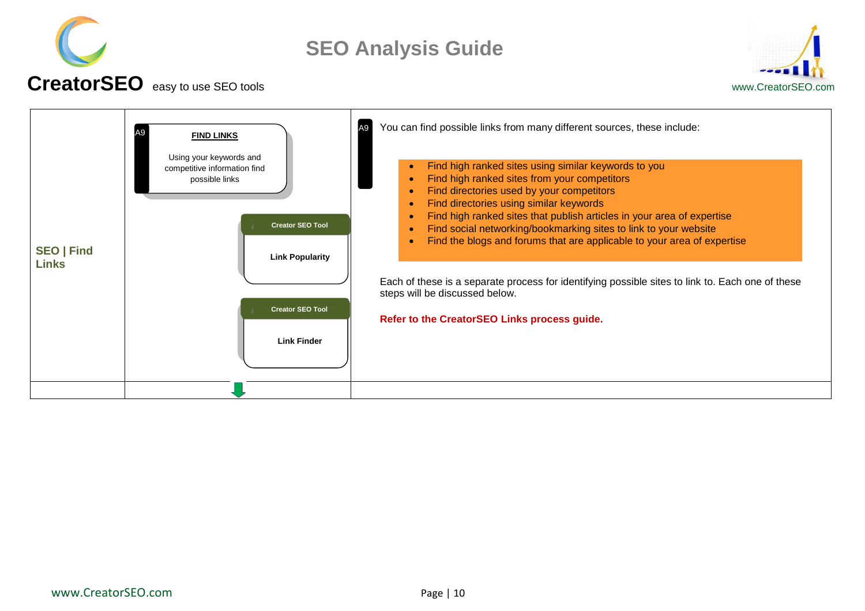



#### **CreatorSEO** easy to use SEO toolswww.CreatorSEO.com

<span id="page-9-0"></span>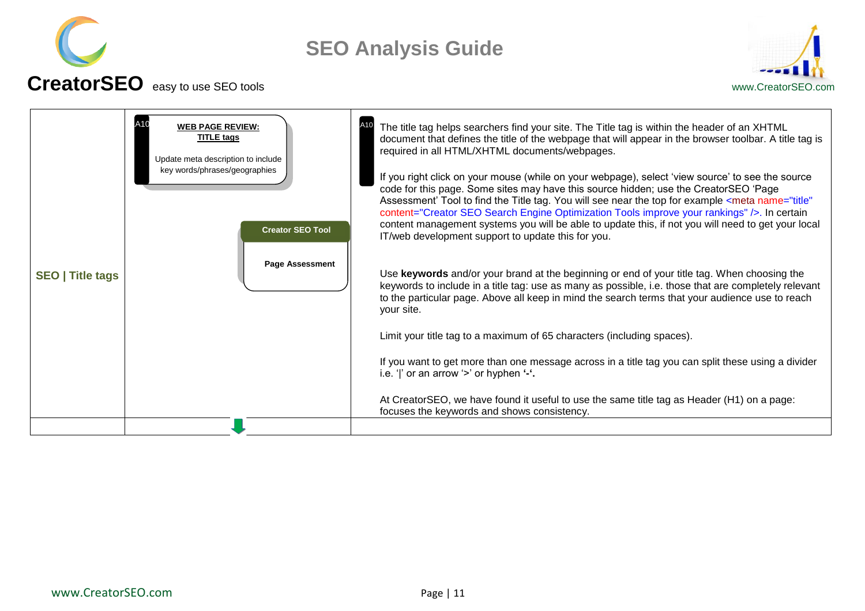



#### <span id="page-10-0"></span>**SEO | Title tags** The title tag helps searchers find your site. The Title tag is within the header of an XHTML document that defines the title of the webpage that will appear in the browser toolbar. A title tag is required in all HTML/XHTML documents/webpages. If you right click on your mouse (while on your webpage), select "view source" to see the source code for this page. Some sites may have this source hidden; use the CreatorSEO "Page Assessment' Tool to find the Title tag. You will see near the top for example <meta name="title" content="Creator SEO Search Engine Optimization Tools improve your rankings" />. In certain content management systems you will be able to update this, if not you will need to get your local IT/web development support to update this for you. Use **keywords** and/or your brand at the beginning or end of your title tag. When choosing the keywords to include in a title tag: use as many as possible, i.e. those that are completely relevant to the particular page. Above all keep in mind the search terms that your audience use to reach your site. Limit your title tag to a maximum of 65 characters (including spaces). If you want to get more than one message across in a title tag you can split these using a divider i.e. 'I' or an arrow '>' or hyphen '-'. At CreatorSEO, we have found it useful to use the same title tag as Header (H1) on a page: focuses the keywords and shows consistency. A10 **WEB PAGE REVIEW:** New York 10 **TITLE tags** Update meta description to include key words/phrases/geographies **Page Assessment Creator SEO Tool**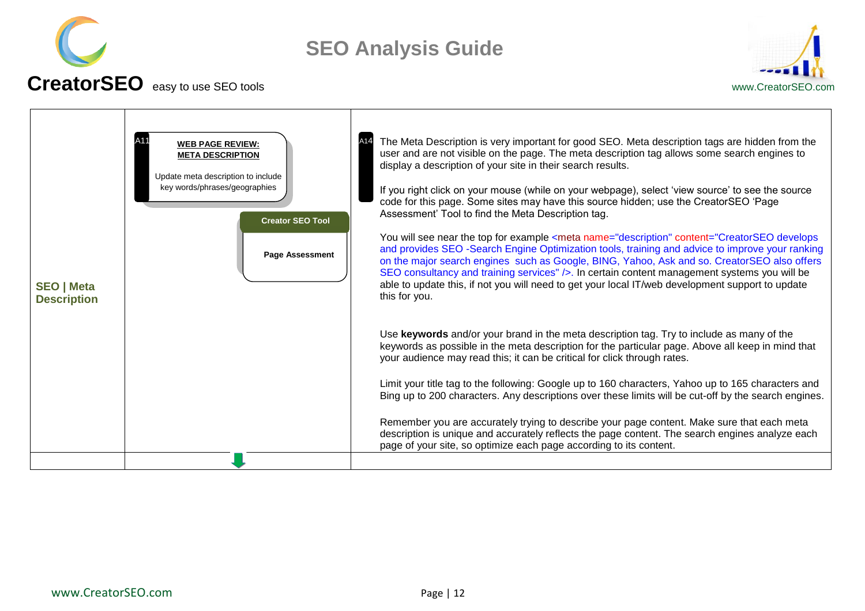



<span id="page-11-0"></span>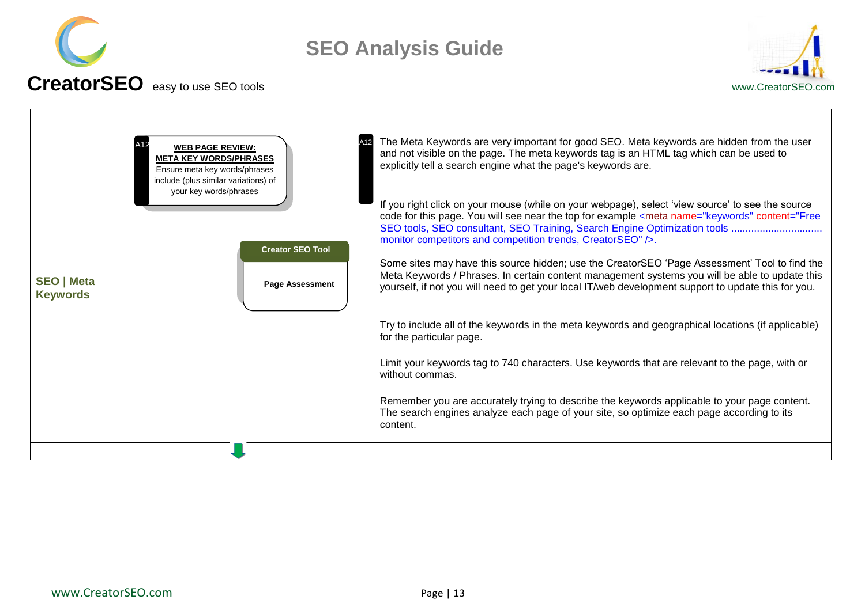



<span id="page-12-0"></span>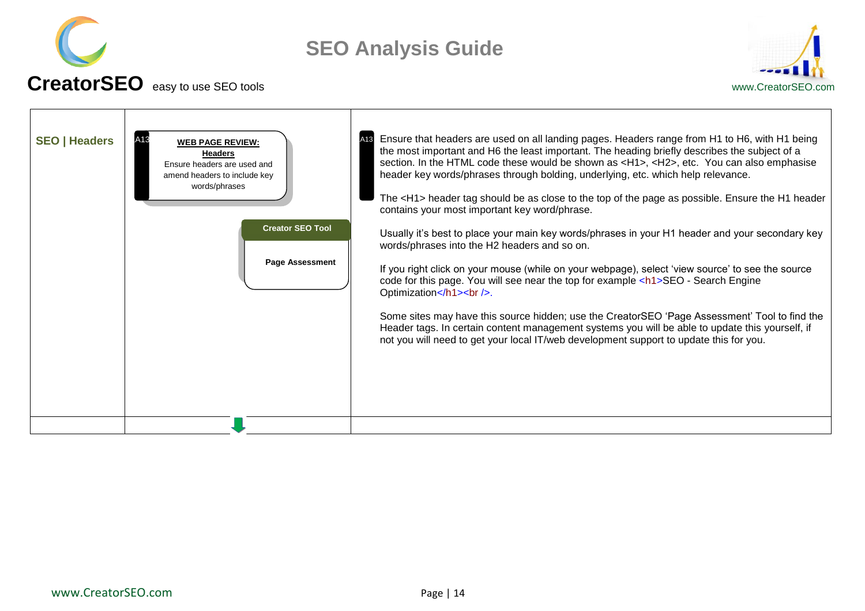



<span id="page-13-0"></span>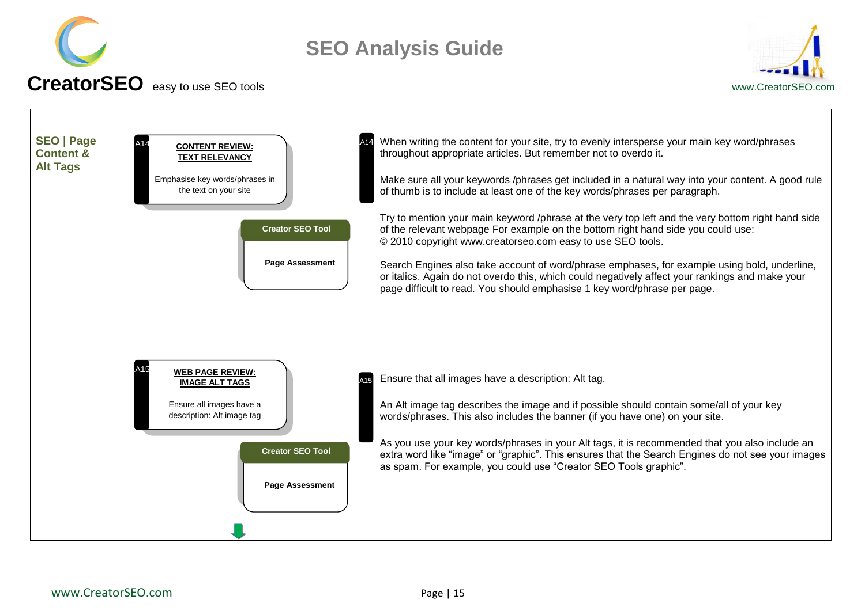



<span id="page-14-0"></span>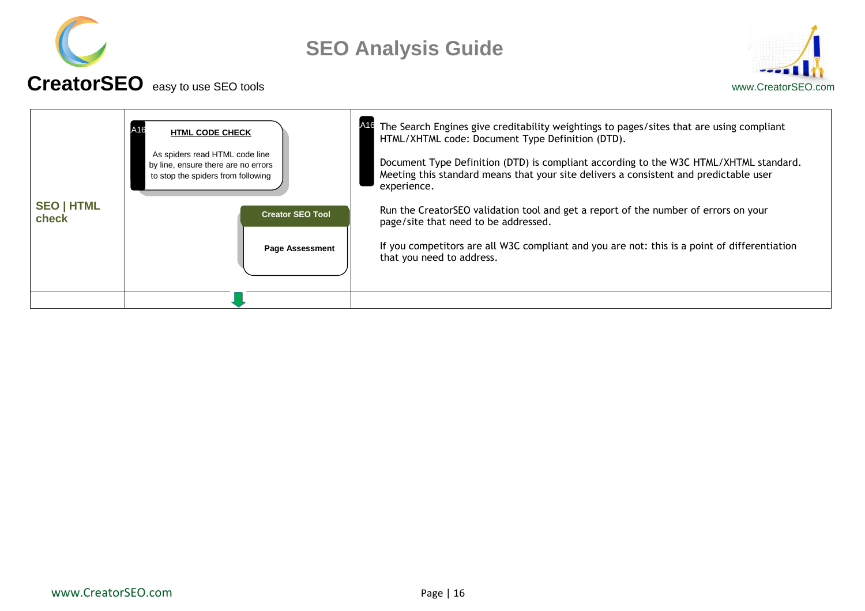



<span id="page-15-0"></span>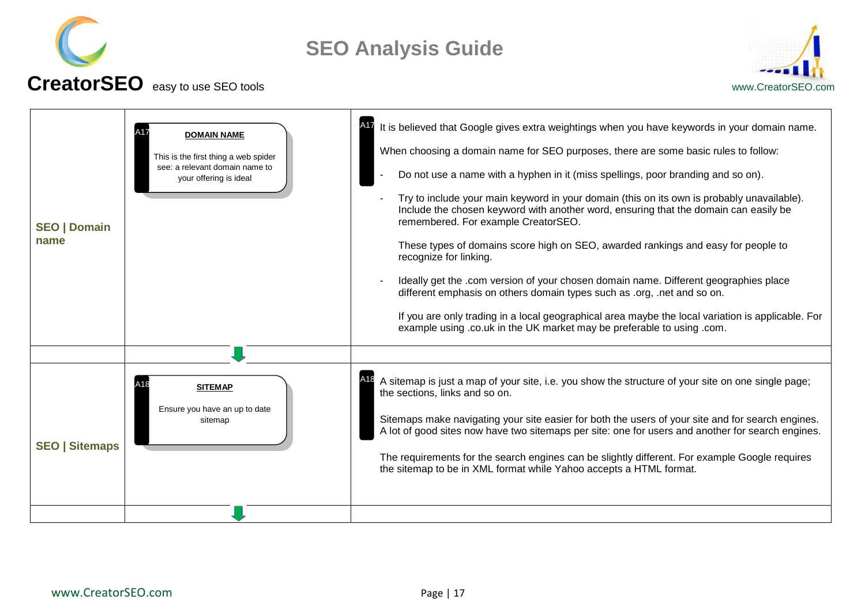



#### <span id="page-16-1"></span><span id="page-16-0"></span>**SEO | Domain name** It is believed that Google gives extra weightings when you have keywords in your domain name. When choosing a domain name for SEO purposes, there are some basic rules to follow: Do not use a name with a hyphen in it (miss spellings, poor branding and so on). - Try to include your main keyword in your domain (this on its own is probably unavailable). Include the chosen keyword with another word, ensuring that the domain can easily be remembered. For example CreatorSEO. These types of domains score high on SEO, awarded rankings and easy for people to recognize for linking. - Ideally get the .com version of your chosen domain name. Different geographies place different emphasis on others domain types such as .org, .net and so on. If you are only trading in a local geographical area maybe the local variation is applicable. For example using .co.uk in the UK market may be preferable to using .com. **SEO | Sitemaps** A sitemap is just a map of your site, i.e. you show the structure of your site on one single page; the sections, links and so on. Sitemaps make navigating your site easier for both the users of your site and for search engines. A lot of good sites now have two sitemaps per site: one for users and another for search engines. The requirements for the search engines can be slightly different. For example Google requires the sitemap to be in XML format while Yahoo accepts a HTML format. **DOMAIN NAME** This is the first thing a web spider see: a relevant domain name to your offering is ideal A17 **SITEMAP** Ensure you have an up to date sitemap  $A18$   $SIFMAP$   $A18$ A17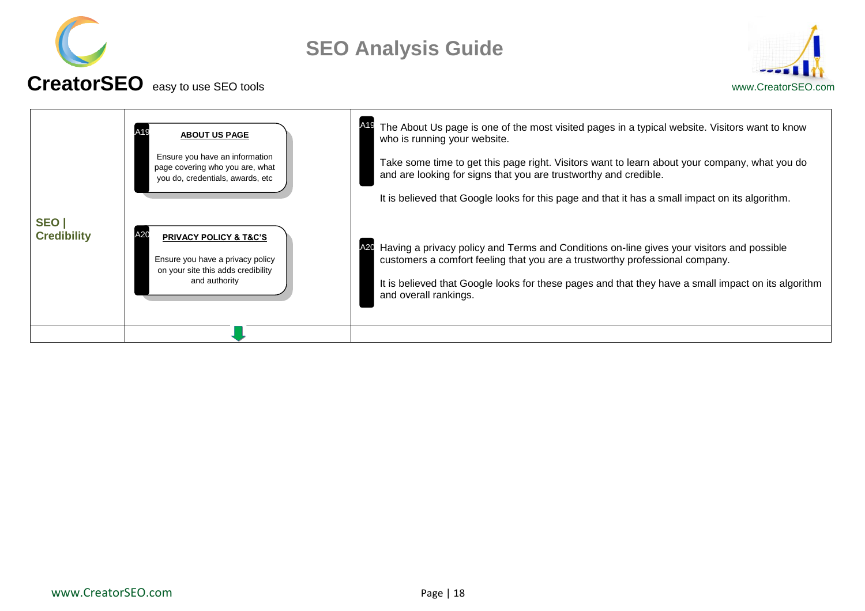



<span id="page-17-0"></span>